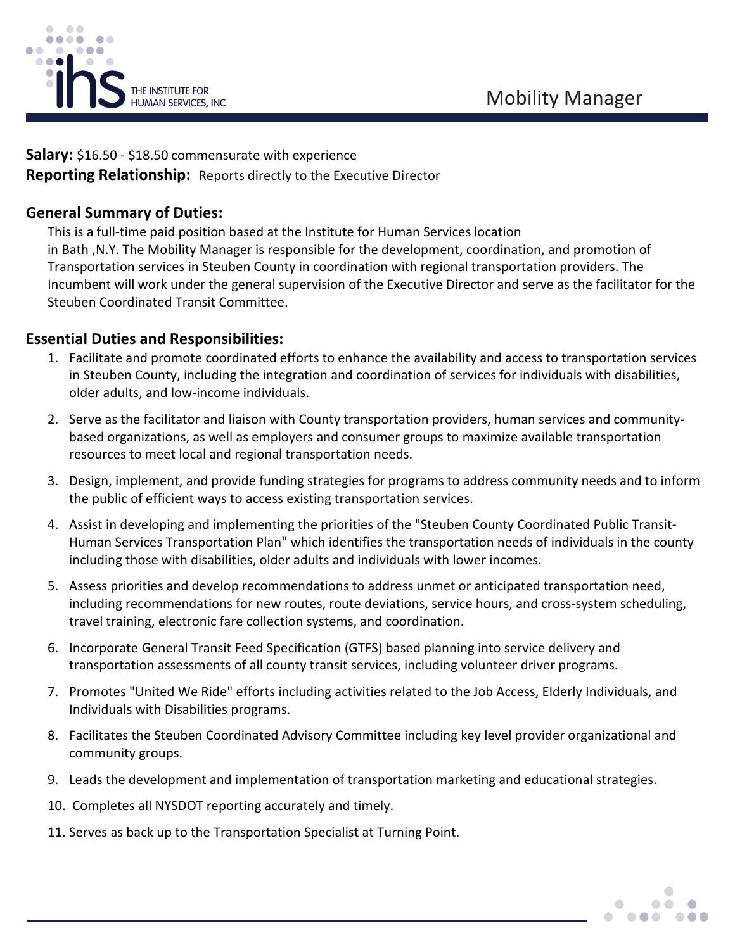

**Salary:** \$16.50 - \$18.50 commensurate with experience **Reporting Relationship:** Reports directly to the Executive Director

## **General Summary of Duties:**

This is a full-time paid position based at the Institute for Human Services location in Bath ,N.Y. The Mobility Manager is responsible for the development, coordination, and promotion of Transportation services in Steuben County in coordination with regional transportation providers. The Incumbent will work under the general supervision of the Executive Director and serve as the facilitator for the Steuben Coordinated Transit Committee.

### **Essential Duties and Responsibilities:**

- 1. Facilitate and promote coordinated efforts to enhance the availability and access to transportation services in Steuben County, including the integration and coordination of services for individuals with disabilities, older adults, and low-income individuals.
- 2. Serve as the facilitator and liaison with County transportation providers, human services and communitybased organizations, as well as employers and consumer groups to maximize available transportation resources to meet local and regional transportation needs.
- 3. Design, implement, and provide funding strategies for programs to address community needs and to inform the public of efficient ways to access existing transportation services.
- 4. Assist in developing and implementing the priorities of the "Steuben County Coordinated Public Transit-Human Services Transportation Plan" which identifies the transportation needs of individuals in the county including those with disabilities, older adults and individuals with lower incomes.
- 5. Assess priorities and develop recommendations to address unmet or anticipated transportation need, including recommendations for new routes, route deviations, service hours, and cross-system scheduling, travel training, electronic fare collection systems, and coordination.
- 6. Incorporate General Transit Feed Specification (GTFS) based planning into service delivery and transportation assessments of all county transit services, including volunteer driver programs.
- 7. Promotes "United We Ride" efforts including activities related to the Job Access, Elderly Individuals, and Individuals with Disabilities programs.
- 8. Facilitates the Steuben Coordinated Advisory Committee including key level provider organizational and community groups.
- 9. Leads the development and implementation of transportation marketing and educational strategies.
- 10. Completes all NYSDOT reporting accurately and timely.
- 11. Serves as back up to the Transportation Specialist at Turning Point.